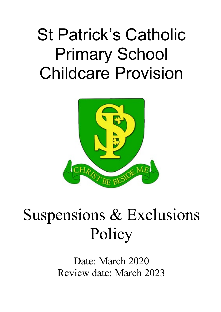# St Patrick's Catholic Primary School Childcare Provision



# Suspensions & Exclusions Policy

Date: March 2020 Review date: March 2023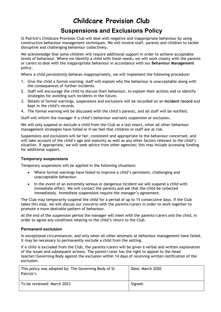## **Childcare Provision Club**

### **Suspensions and Exclusions Policy**

St Patrick's Childcare Provision Club will deal with negative and inappropriate behaviour by using constructive behaviour management techniques. We will involve staff, parents and children to tackle disruptive and challenging behaviour collectively.

We acknowledge that some children will require additional support in order to achieve acceptable levels of behaviour. Where we identify a child with these needs, we will work closely with the parents or carers to deal with the inappropriate behaviour in accordance with our **Behaviour Management** policy.

Where a child *persistently* behaves inappropriately, we will implement the following procedure:

- 1. Give the child a formal warning; staff will explain why the behaviour is unacceptable along with the consequences of further incidents.
- 2. Staff will encourage the child to discuss their behaviour, to explain their actions and to identify strategies for avoiding such incidents in the future.
- 3. Details of formal warnings, suspensions and exclusions will be recorded on an **Incident record** and kept in the child's records.
- 4. The formal warning will be discussed with the child's parents, and all staff will be notified.

Staff will inform the manager if a child's behaviour warrants suspension or exclusion.

We will only suspend or exclude a child from the Club as a last resort, when all other behaviour management strategies have failed or if we feel that children or staff are at risk.

Suspensions and exclusions will be fair, consistent and appropriate to the behaviour concerned, and will take account of the child's age and maturity as well as any other factors relevant to the child's situation. If appropriate, we will seek advice from other agencies; this may include accessing funding for additional support.

### **Temporary suspensions**

Temporary suspensions will be applied in the following situations:

- Where formal warnings have failed to improve a child's persistent, challenging and unacceptable behaviour.
- In the event of an extremely serious or dangerous incident we will suspend a child with immediate effect. We will contact the parents and ask that the child be collected immediately. Immediate suspensions require the manager's agreement.

The Club may temporarily suspend the child for a period of up to 15 consecutive days. If the Club takes this step, we will discuss our concerns with the parents/carers in order to work together to promote a more desirable pattern of behaviour.

At the end of the suspension period the manager will meet with the parents/carers and the child, in order to agree any conditions relating to the child's return to the Club.

#### **Permanent exclusion**

In exceptional circumstances, and only when all other attempts at behaviour management have failed, it may be necessary to permanently exclude a child from the setting.

If a child is excluded from the Club, the parents/carers will be given a verbal and written explanation of the issues and subsequent actions. The parent/carer has the right to appeal to the Head teacher/Governing Body against the exclusion within 14 days of receiving written notification of the exclusion.

| This policy was adopted by: The Governing Body of St<br>Patrick's | Date: March 2020 |
|-------------------------------------------------------------------|------------------|
| To be reviewed: March 2023                                        | Signed:          |